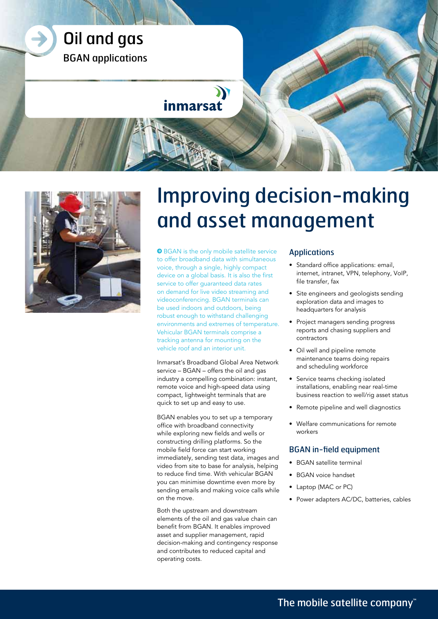



# Improving decision-making and asset management

**O** BGAN is the only mobile satellite service to offer broadband data with simultaneous voice, through a single, highly compact device on a global basis. It is also the first service to offer guaranteed data rates on demand for live video streaming and videoconferencing. BGAN terminals can be used indoors and outdoors, being robust enough to withstand challenging environments and extremes of temperature. Vehicular BGAN terminals comprise a tracking antenna for mounting on the vehicle roof and an interior unit.

Inmarsat's Broadband Global Area Network service – BGAN – offers the oil and gas industry a compelling combination: instant, remote voice and high-speed data using compact, lightweight terminals that are quick to set up and easy to use.

BGAN enables you to set up a temporary office with broadband connectivity while exploring new fields and wells or constructing drilling platforms. So the mobile field force can start working immediately, sending test data, images and video from site to base for analysis, helping to reduce find time. With vehicular BGAN you can minimise downtime even more by sending emails and making voice calls while on the move.

Both the upstream and downstream elements of the oil and gas value chain can benefit from BGAN. It enables improved asset and supplier management, rapid decision-making and contingency response and contributes to reduced capital and operating costs.

## Applications

- Standard office applications: email, internet, intranet, VPN, telephony, VoIP, file transfer, fax
- Site engineers and geologists sending exploration data and images to headquarters for analysis
- Project managers sending progress reports and chasing suppliers and contractors
- Oil well and pipeline remote maintenance teams doing repairs and scheduling workforce
- Service teams checking isolated installations, enabling near real-time business reaction to well/rig asset status
- Remote pipeline and well diagnostics
- Welfare communications for remote workers

### BGAN in-field equipment

- BGAN satellite terminal
- BGAN voice handset
- Laptop (MAC or PC)
- Power adapters AC/DC, batteries, cables